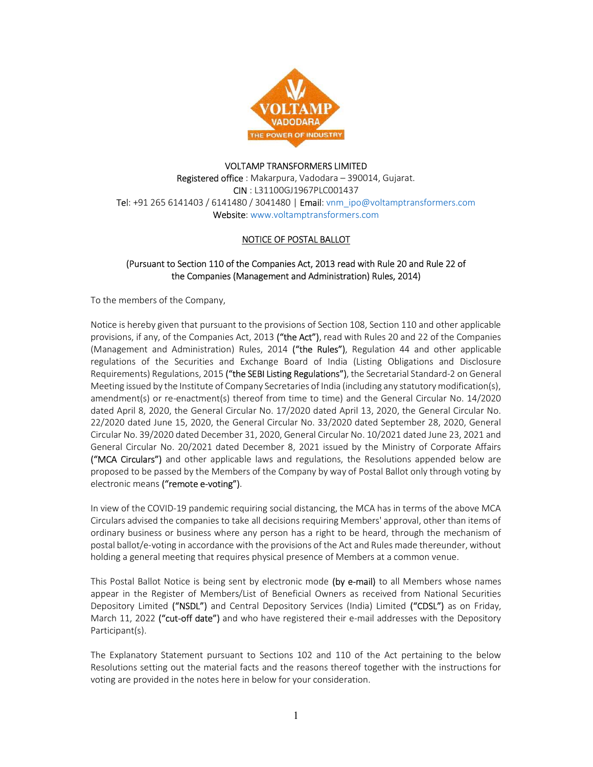

### VOLTAMP TRANSFORMERS LIMITED Registered office : Makarpura, Vadodara – 390014, Gujarat. CIN : L31100GJ1967PLC001437 Tel: +91 265 6141403 / 6141480 / 3041480 | Email: vnm\_ipo@voltamptransformers.com Website: www.voltamptransformers.com

# NOTICE OF POSTAL BALLOT

# (Pursuant to Section 110 of the Companies Act, 2013 read with Rule 20 and Rule 22 of the Companies (Management and Administration) Rules, 2014)

To the members of the Company,

Notice is hereby given that pursuant to the provisions of Section 108, Section 110 and other applicable provisions, if any, of the Companies Act, 2013 ("the Act"), read with Rules 20 and 22 of the Companies (Management and Administration) Rules, 2014 ("the Rules"), Regulation 44 and other applicable regulations of the Securities and Exchange Board of India (Listing Obligations and Disclosure Requirements) Regulations, 2015 ("the SEBI Listing Regulations"), the Secretarial Standard-2 on General Meeting issued by the Institute of Company Secretaries of India (including any statutory modification(s), amendment(s) or re-enactment(s) thereof from time to time) and the General Circular No. 14/2020 dated April 8, 2020, the General Circular No. 17/2020 dated April 13, 2020, the General Circular No. 22/2020 dated June 15, 2020, the General Circular No. 33/2020 dated September 28, 2020, General Circular No. 39/2020 dated December 31, 2020, General Circular No. 10/2021 dated June 23, 2021 and General Circular No. 20/2021 dated December 8, 2021 issued by the Ministry of Corporate Affairs ("MCA Circulars") and other applicable laws and regulations, the Resolutions appended below are proposed to be passed by the Members of the Company by way of Postal Ballot only through voting by electronic means ("remote e-voting").

In view of the COVID-19 pandemic requiring social distancing, the MCA has in terms of the above MCA Circulars advised the companies to take all decisions requiring Members' approval, other than items of ordinary business or business where any person has a right to be heard, through the mechanism of postal ballot/e-voting in accordance with the provisions of the Act and Rules made thereunder, without holding a general meeting that requires physical presence of Members at a common venue.

This Postal Ballot Notice is being sent by electronic mode (by e-mail) to all Members whose names appear in the Register of Members/List of Beneficial Owners as received from National Securities Depository Limited ("NSDL") and Central Depository Services (India) Limited ("CDSL") as on Friday, March 11, 2022 ("cut-off date") and who have registered their e-mail addresses with the Depository Participant(s).

The Explanatory Statement pursuant to Sections 102 and 110 of the Act pertaining to the below Resolutions setting out the material facts and the reasons thereof together with the instructions for voting are provided in the notes here in below for your consideration.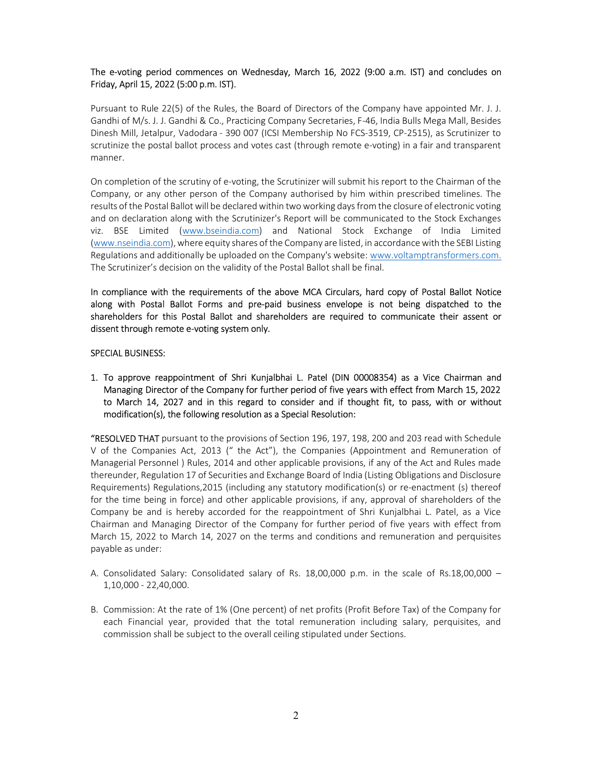## The e-voting period commences on Wednesday, March 16, 2022 (9:00 a.m. IST) and concludes on Friday, April 15, 2022 (5:00 p.m. IST).

Pursuant to Rule 22(5) of the Rules, the Board of Directors of the Company have appointed Mr. J. J. Gandhi of M/s. J. J. Gandhi & Co., Practicing Company Secretaries, F-46, India Bulls Mega Mall, Besides Dinesh Mill, Jetalpur, Vadodara - 390 007 (ICSI Membership No FCS-3519, CP-2515), as Scrutinizer to scrutinize the postal ballot process and votes cast (through remote e-voting) in a fair and transparent manner.

On completion of the scrutiny of e-voting, the Scrutinizer will submit his report to the Chairman of the Company, or any other person of the Company authorised by him within prescribed timelines. The results of the Postal Ballot will be declared within two working days from the closure of electronic voting and on declaration along with the Scrutinizer's Report will be communicated to the Stock Exchanges viz. BSE Limited (www.bseindia.com) and National Stock Exchange of India Limited (www.nseindia.com), where equity shares of the Company are listed, in accordance with the SEBI Listing Regulations and additionally be uploaded on the Company's website: www.voltamptransformers.com. The Scrutinizer's decision on the validity of the Postal Ballot shall be final.

In compliance with the requirements of the above MCA Circulars, hard copy of Postal Ballot Notice along with Postal Ballot Forms and pre-paid business envelope is not being dispatched to the shareholders for this Postal Ballot and shareholders are required to communicate their assent or dissent through remote e-voting system only.

#### SPECIAL BUSINESS:

1. To approve reappointment of Shri Kunjalbhai L. Patel (DIN 00008354) as a Vice Chairman and Managing Director of the Company for further period of five years with effect from March 15, 2022 to March 14, 2027 and in this regard to consider and if thought fit, to pass, with or without modification(s), the following resolution as a Special Resolution:

"RESOLVED THAT pursuant to the provisions of Section 196, 197, 198, 200 and 203 read with Schedule V of the Companies Act, 2013 (" the Act"), the Companies (Appointment and Remuneration of Managerial Personnel ) Rules, 2014 and other applicable provisions, if any of the Act and Rules made thereunder, Regulation 17 of Securities and Exchange Board of India (Listing Obligations and Disclosure Requirements) Regulations,2015 (including any statutory modification(s) or re-enactment (s) thereof for the time being in force) and other applicable provisions, if any, approval of shareholders of the Company be and is hereby accorded for the reappointment of Shri Kunjalbhai L. Patel, as a Vice Chairman and Managing Director of the Company for further period of five years with effect from March 15, 2022 to March 14, 2027 on the terms and conditions and remuneration and perquisites payable as under:

- A. Consolidated Salary: Consolidated salary of Rs. 18,00,000 p.m. in the scale of Rs.18,00,000 1,10,000 - 22,40,000.
- B. Commission: At the rate of 1% (One percent) of net profits (Profit Before Tax) of the Company for each Financial year, provided that the total remuneration including salary, perquisites, and commission shall be subject to the overall ceiling stipulated under Sections.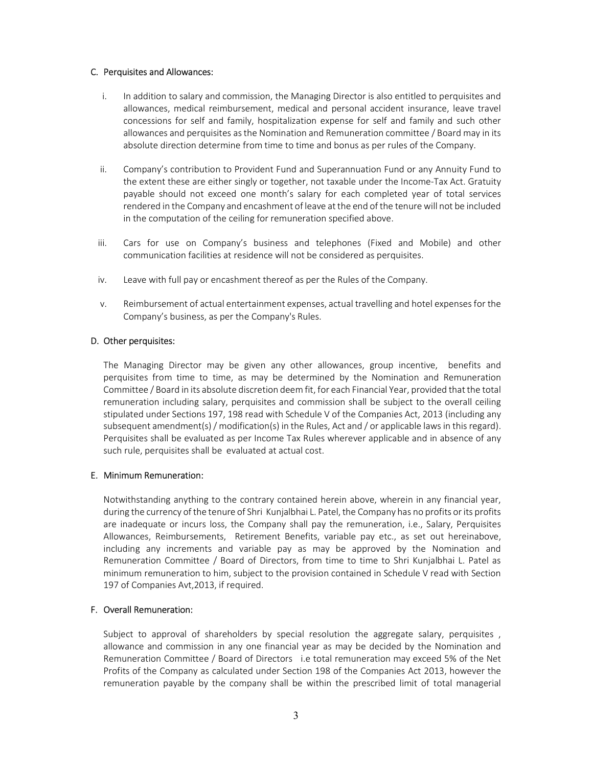#### C. Perquisites and Allowances:

- i. In addition to salary and commission, the Managing Director is also entitled to perquisites and allowances, medical reimbursement, medical and personal accident insurance, leave travel concessions for self and family, hospitalization expense for self and family and such other allowances and perquisites as the Nomination and Remuneration committee / Board may in its absolute direction determine from time to time and bonus as per rules of the Company.
- ii. Company's contribution to Provident Fund and Superannuation Fund or any Annuity Fund to the extent these are either singly or together, not taxable under the Income-Tax Act. Gratuity payable should not exceed one month's salary for each completed year of total services rendered in the Company and encashment of leave at the end of the tenure will not be included in the computation of the ceiling for remuneration specified above.
- iii. Cars for use on Company's business and telephones (Fixed and Mobile) and other communication facilities at residence will not be considered as perquisites.
- iv. Leave with full pay or encashment thereof as per the Rules of the Company.
- v. Reimbursement of actual entertainment expenses, actual travelling and hotel expenses for the Company's business, as per the Company's Rules.

#### D. Other perquisites:

The Managing Director may be given any other allowances, group incentive, benefits and perquisites from time to time, as may be determined by the Nomination and Remuneration Committee / Board in its absolute discretion deem fit, for each Financial Year, provided that the total remuneration including salary, perquisites and commission shall be subject to the overall ceiling stipulated under Sections 197, 198 read with Schedule V of the Companies Act, 2013 (including any subsequent amendment(s) / modification(s) in the Rules, Act and / or applicable laws in this regard). Perquisites shall be evaluated as per Income Tax Rules wherever applicable and in absence of any such rule, perquisites shall be evaluated at actual cost.

#### E. Minimum Remuneration:

Notwithstanding anything to the contrary contained herein above, wherein in any financial year, during the currency of the tenure of Shri Kunjalbhai L. Patel, the Company has no profits or its profits are inadequate or incurs loss, the Company shall pay the remuneration, i.e., Salary, Perquisites Allowances, Reimbursements, Retirement Benefits, variable pay etc., as set out hereinabove, including any increments and variable pay as may be approved by the Nomination and Remuneration Committee / Board of Directors, from time to time to Shri Kunjalbhai L. Patel as minimum remuneration to him, subject to the provision contained in Schedule V read with Section 197 of Companies Avt,2013, if required.

#### F. Overall Remuneration:

Subject to approval of shareholders by special resolution the aggregate salary, perquisites , allowance and commission in any one financial year as may be decided by the Nomination and Remuneration Committee / Board of Directors i.e total remuneration may exceed 5% of the Net Profits of the Company as calculated under Section 198 of the Companies Act 2013, however the remuneration payable by the company shall be within the prescribed limit of total managerial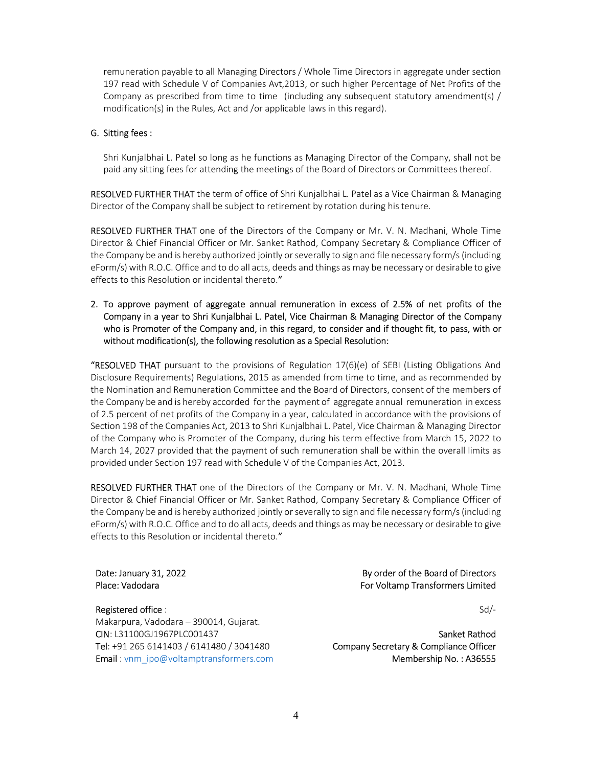remuneration payable to all Managing Directors / Whole Time Directors in aggregate under section 197 read with Schedule V of Companies Avt,2013, or such higher Percentage of Net Profits of the Company as prescribed from time to time (including any subsequent statutory amendment(s) / modification(s) in the Rules, Act and /or applicable laws in this regard).

#### G. Sitting fees :

Shri Kunjalbhai L. Patel so long as he functions as Managing Director of the Company, shall not be paid any sitting fees for attending the meetings of the Board of Directors or Committees thereof.

RESOLVED FURTHER THAT the term of office of Shri Kunjalbhai L. Patel as a Vice Chairman & Managing Director of the Company shall be subject to retirement by rotation during his tenure.

RESOLVED FURTHER THAT one of the Directors of the Company or Mr. V. N. Madhani, Whole Time Director & Chief Financial Officer or Mr. Sanket Rathod, Company Secretary & Compliance Officer of the Company be and is hereby authorized jointly or severally to sign and file necessary form/s (including eForm/s) with R.O.C. Office and to do all acts, deeds and things as may be necessary or desirable to give effects to this Resolution or incidental thereto."

## 2. To approve payment of aggregate annual remuneration in excess of 2.5% of net profits of the Company in a year to Shri Kunjalbhai L. Patel, Vice Chairman & Managing Director of the Company who is Promoter of the Company and, in this regard, to consider and if thought fit, to pass, with or without modification(s), the following resolution as a Special Resolution:

**"RESOLVED THAT** pursuant to the provisions of Regulation 17(6)(e) of SEBI (Listing Obligations And Disclosure Requirements) Regulations, 2015 as amended from time to time, and as recommended by the Nomination and Remuneration Committee and the Board of Directors, consent of the members of the Company be and is hereby accorded for the payment of aggregate annual remuneration in excess of 2.5 percent of net profits of the Company in a year, calculated in accordance with the provisions of Section 198 of the Companies Act, 2013 to Shri Kunjalbhai L. Patel, Vice Chairman & Managing Director of the Company who is Promoter of the Company, during his term effective from March 15, 2022 to March 14, 2027 provided that the payment of such remuneration shall be within the overall limits as provided under Section 197 read with Schedule V of the Companies Act, 2013.

RESOLVED FURTHER THAT one of the Directors of the Company or Mr. V. N. Madhani, Whole Time Director & Chief Financial Officer or Mr. Sanket Rathod, Company Secretary & Compliance Officer of the Company be and is hereby authorized jointly or severally to sign and file necessary form/s (including eForm/s) with R.O.C. Office and to do all acts, deeds and things as may be necessary or desirable to give effects to this Resolution or incidental thereto."

Date: January 31, 2022 Place: Vadodara

#### Registered office :

Makarpura, Vadodara – 390014, Gujarat. CIN: L31100GJ1967PLC001437 Tel: +91 265 6141403 / 6141480 / 3041480 Email : vnm\_ipo@voltamptransformers.com

## By order of the Board of Directors For Voltamp Transformers Limited

Sd/-

Sanket Rathod Company Secretary & Compliance Officer Membership No. : A36555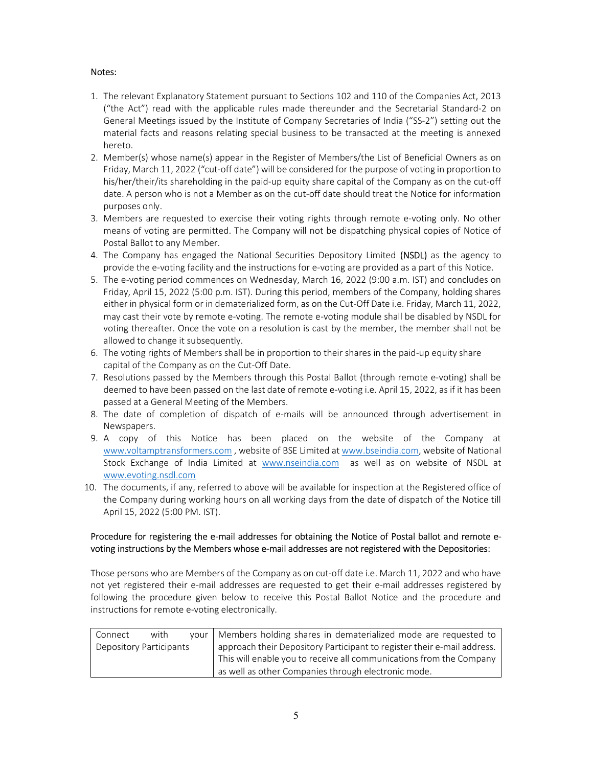# Notes:

- 1. The relevant Explanatory Statement pursuant to Sections 102 and 110 of the Companies Act, 2013 ("the Act") read with the applicable rules made thereunder and the Secretarial Standard-2 on General Meetings issued by the Institute of Company Secretaries of India ("SS-2") setting out the material facts and reasons relating special business to be transacted at the meeting is annexed hereto.
- 2. Member(s) whose name(s) appear in the Register of Members/the List of Beneficial Owners as on Friday, March 11, 2022 ("cut-off date") will be considered for the purpose of voting in proportion to his/her/their/its shareholding in the paid-up equity share capital of the Company as on the cut-off date. A person who is not a Member as on the cut-off date should treat the Notice for information purposes only.
- 3. Members are requested to exercise their voting rights through remote e-voting only. No other means of voting are permitted. The Company will not be dispatching physical copies of Notice of Postal Ballot to any Member.
- 4. The Company has engaged the National Securities Depository Limited (NSDL) as the agency to provide the e-voting facility and the instructions for e-voting are provided as a part of this Notice.
- 5. The e-voting period commences on Wednesday, March 16, 2022 (9:00 a.m. IST) and concludes on Friday, April 15, 2022 (5:00 p.m. IST). During this period, members of the Company, holding shares either in physical form or in dematerialized form, as on the Cut-Off Date i.e. Friday, March 11, 2022, may cast their vote by remote e-voting. The remote e-voting module shall be disabled by NSDL for voting thereafter. Once the vote on a resolution is cast by the member, the member shall not be allowed to change it subsequently.
- 6. The voting rights of Members shall be in proportion to their shares in the paid-up equity share capital of the Company as on the Cut-Off Date.
- 7. Resolutions passed by the Members through this Postal Ballot (through remote e-voting) shall be deemed to have been passed on the last date of remote e-voting i.e. April 15, 2022, as if it has been passed at a General Meeting of the Members.
- 8. The date of completion of dispatch of e-mails will be announced through advertisement in Newspapers.
- 9. A copy of this Notice has been placed on the website of the Company at www.voltamptransformers.com , website of BSE Limited at www.bseindia.com, website of National Stock Exchange of India Limited at www.nseindia.com as well as on website of NSDL at www.evoting.nsdl.com
- 10. The documents, if any, referred to above will be available for inspection at the Registered office of the Company during working hours on all working days from the date of dispatch of the Notice till April 15, 2022 (5:00 PM. IST).

## Procedure for registering the e-mail addresses for obtaining the Notice of Postal ballot and remote evoting instructions by the Members whose e-mail addresses are not registered with the Depositories:

Those persons who are Members of the Company as on cut-off date i.e. March 11, 2022 and who have not yet registered their e-mail addresses are requested to get their e-mail addresses registered by following the procedure given below to receive this Postal Ballot Notice and the procedure and instructions for remote e-voting electronically.

| Connect                 | with | your   Members holding shares in dematerialized mode are requested to   |
|-------------------------|------|-------------------------------------------------------------------------|
| Depository Participants |      | approach their Depository Participant to register their e-mail address. |
|                         |      | This will enable you to receive all communications from the Company     |
|                         |      | as well as other Companies through electronic mode.                     |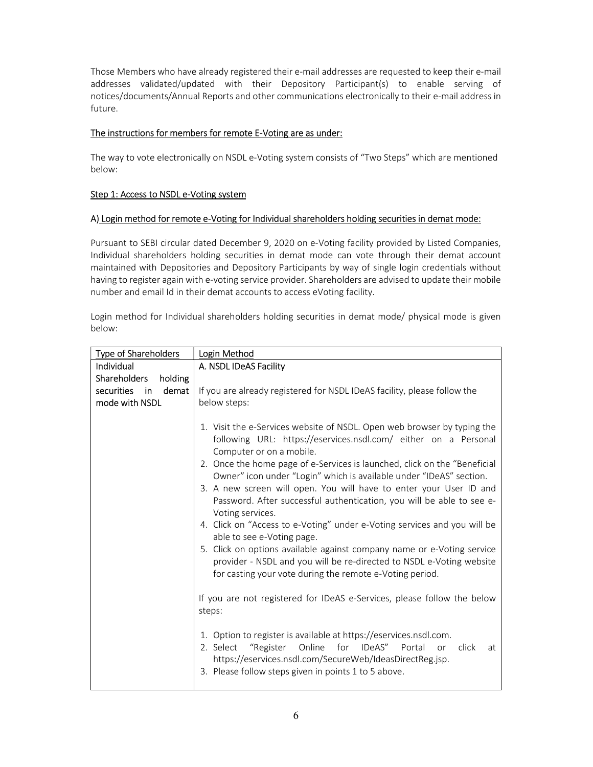Those Members who have already registered their e-mail addresses are requested to keep their e-mail addresses validated/updated with their Depository Participant(s) to enable serving of notices/documents/Annual Reports and other communications electronically to their e-mail address in future.

## The instructions for members for remote E-Voting are as under:

The way to vote electronically on NSDL e-Voting system consists of "Two Steps" which are mentioned below:

# Step 1: Access to NSDL e-Voting system

## A) Login method for remote e-Voting for Individual shareholders holding securities in demat mode:

Pursuant to SEBI circular dated December 9, 2020 on e-Voting facility provided by Listed Companies, Individual shareholders holding securities in demat mode can vote through their demat account maintained with Depositories and Depository Participants by way of single login credentials without having to register again with e-voting service provider. Shareholders are advised to update their mobile number and email Id in their demat accounts to access eVoting facility.

Login method for Individual shareholders holding securities in demat mode/ physical mode is given below:

| <b>Type of Shareholders</b>                                                      | Login Method                                                                                                                                                                                                                                                                                    |
|----------------------------------------------------------------------------------|-------------------------------------------------------------------------------------------------------------------------------------------------------------------------------------------------------------------------------------------------------------------------------------------------|
| <b>Individual</b>                                                                | A. NSDL IDeAS Facility                                                                                                                                                                                                                                                                          |
| <b>Shareholders</b><br>holding<br>demat<br>securities<br>in in<br>mode with NSDL | If you are already registered for NSDL IDeAS facility, please follow the<br>below steps:                                                                                                                                                                                                        |
|                                                                                  | 1. Visit the e-Services website of NSDL. Open web browser by typing the<br>following URL: https://eservices.nsdl.com/ either on a Personal<br>Computer or on a mobile.                                                                                                                          |
|                                                                                  | 2. Once the home page of e-Services is launched, click on the "Beneficial<br>Owner" icon under "Login" which is available under "IDeAS" section.<br>3. A new screen will open. You will have to enter your User ID and<br>Password. After successful authentication, you will be able to see e- |
|                                                                                  | Voting services.<br>4. Click on "Access to e-Voting" under e-Voting services and you will be<br>able to see e-Voting page.<br>5. Click on options available against company name or e-Voting service                                                                                            |
|                                                                                  | provider - NSDL and you will be re-directed to NSDL e-Voting website<br>for casting your vote during the remote e-Voting period.                                                                                                                                                                |
|                                                                                  | If you are not registered for IDeAS e-Services, please follow the below<br>steps:                                                                                                                                                                                                               |
|                                                                                  | 1. Option to register is available at https://eservices.nsdl.com.<br>"Register Online for IDeAS" Portal<br>click<br>2. Select<br>or<br>at<br>https://eservices.nsdl.com/SecureWeb/IdeasDirectReg.jsp.<br>3. Please follow steps given in points 1 to 5 above.                                   |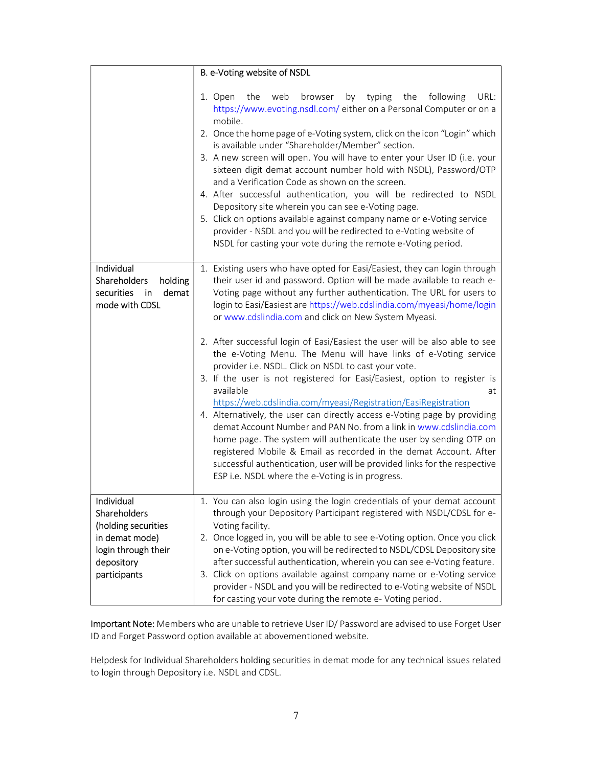|                                                                                                                          | B. e-Voting website of NSDL                                                                                                                                                                                                                                                                                                                                                                                                                                                                                                                                                                                                                                                                                                                                                                                                                                                                                                                                                                                                                                                                                                                                          |
|--------------------------------------------------------------------------------------------------------------------------|----------------------------------------------------------------------------------------------------------------------------------------------------------------------------------------------------------------------------------------------------------------------------------------------------------------------------------------------------------------------------------------------------------------------------------------------------------------------------------------------------------------------------------------------------------------------------------------------------------------------------------------------------------------------------------------------------------------------------------------------------------------------------------------------------------------------------------------------------------------------------------------------------------------------------------------------------------------------------------------------------------------------------------------------------------------------------------------------------------------------------------------------------------------------|
|                                                                                                                          | browser<br>by typing the<br>following<br>URL:<br>the<br>web<br>1. Open<br>https://www.evoting.nsdl.com/either on a Personal Computer or on a<br>mobile.<br>2. Once the home page of e-Voting system, click on the icon "Login" which<br>is available under "Shareholder/Member" section.<br>3. A new screen will open. You will have to enter your User ID (i.e. your<br>sixteen digit demat account number hold with NSDL), Password/OTP<br>and a Verification Code as shown on the screen.<br>4. After successful authentication, you will be redirected to NSDL<br>Depository site wherein you can see e-Voting page.<br>5. Click on options available against company name or e-Voting service<br>provider - NSDL and you will be redirected to e-Voting website of<br>NSDL for casting your vote during the remote e-Voting period.                                                                                                                                                                                                                                                                                                                             |
| Individual<br>Shareholders<br>holding<br>demat<br>securities<br>in<br>mode with CDSL                                     | 1. Existing users who have opted for Easi/Easiest, they can login through<br>their user id and password. Option will be made available to reach e-<br>Voting page without any further authentication. The URL for users to<br>login to Easi/Easiest are https://web.cdslindia.com/myeasi/home/login<br>or www.cdslindia.com and click on New System Myeasi.<br>2. After successful login of Easi/Easiest the user will be also able to see<br>the e-Voting Menu. The Menu will have links of e-Voting service<br>provider i.e. NSDL. Click on NSDL to cast your vote.<br>3. If the user is not registered for Easi/Easiest, option to register is<br>available<br>at<br>https://web.cdslindia.com/myeasi/Registration/EasiRegistration<br>4. Alternatively, the user can directly access e-Voting page by providing<br>demat Account Number and PAN No. from a link in www.cdslindia.com<br>home page. The system will authenticate the user by sending OTP on<br>registered Mobile & Email as recorded in the demat Account. After<br>successful authentication, user will be provided links for the respective<br>ESP i.e. NSDL where the e-Voting is in progress. |
| Individual<br>Shareholders<br>(holding securities<br>in demat mode)<br>login through their<br>depository<br>participants | 1. You can also login using the login credentials of your demat account<br>through your Depository Participant registered with NSDL/CDSL for e-<br>Voting facility.<br>2. Once logged in, you will be able to see e-Voting option. Once you click<br>on e-Voting option, you will be redirected to NSDL/CDSL Depository site<br>after successful authentication, wherein you can see e-Voting feature.<br>3. Click on options available against company name or e-Voting service<br>provider - NSDL and you will be redirected to e-Voting website of NSDL<br>for casting your vote during the remote e- Voting period.                                                                                                                                                                                                                                                                                                                                                                                                                                                                                                                                              |

Important Note: Members who are unable to retrieve User ID/ Password are advised to use Forget User ID and Forget Password option available at abovementioned website.

Helpdesk for Individual Shareholders holding securities in demat mode for any technical issues related to login through Depository i.e. NSDL and CDSL.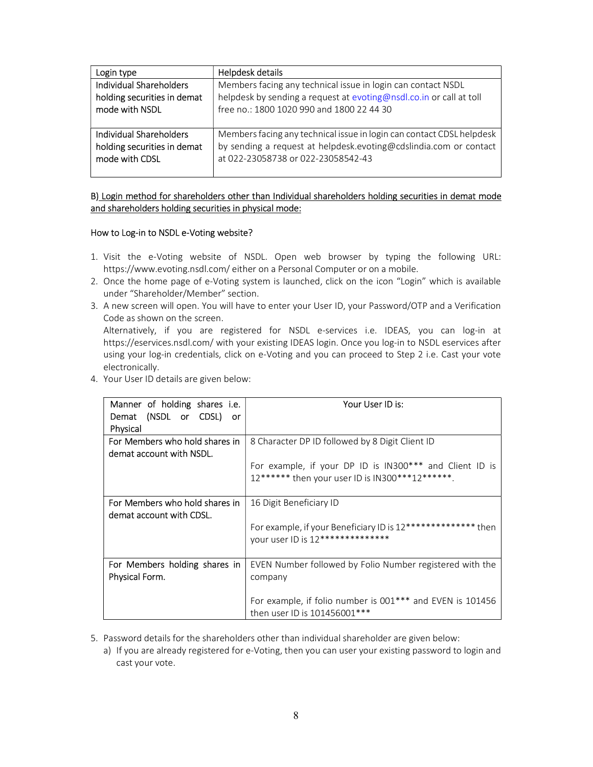| Login type                     | Helpdesk details                                                      |
|--------------------------------|-----------------------------------------------------------------------|
| <b>Individual Shareholders</b> | Members facing any technical issue in login can contact NSDL          |
| holding securities in demat    | helpdesk by sending a request at evoting@nsdl.co.in or call at toll   |
| mode with NSDL                 | free no.: 1800 1020 990 and 1800 22 44 30                             |
| <b>Individual Shareholders</b> | Members facing any technical issue in login can contact CDSL helpdesk |
| holding securities in demat    | by sending a request at helpdesk.evoting@cdslindia.com or contact     |
| mode with CDSL                 | at 022-23058738 or 022-23058542-43                                    |

#### B) Login method for shareholders other than Individual shareholders holding securities in demat mode and shareholders holding securities in physical mode:

#### How to Log-in to NSDL e-Voting website?

- 1. Visit the e-Voting website of NSDL. Open web browser by typing the following URL: https://www.evoting.nsdl.com/ either on a Personal Computer or on a mobile.
- 2. Once the home page of e-Voting system is launched, click on the icon "Login" which is available under "Shareholder/Member" section.
- 3. A new screen will open. You will have to enter your User ID, your Password/OTP and a Verification Code as shown on the screen. Alternatively, if you are registered for NSDL e-services i.e. IDEAS, you can log-in at https://eservices.nsdl.com/ with your existing IDEAS login. Once you log-in to NSDL eservices after using your log-in credentials, click on e-Voting and you can proceed to Step 2 i.e. Cast your vote electronically.
- 4. Your User ID details are given below:

| Manner of holding shares i.e.<br>Demat (NSDL or CDSL) or<br>Physical | Your User ID is:                                                                                           |
|----------------------------------------------------------------------|------------------------------------------------------------------------------------------------------------|
| For Members who hold shares in<br>demat account with NSDL.           | 8 Character DP ID followed by 8 Digit Client ID                                                            |
|                                                                      | For example, if your DP ID is IN300*** and Client ID is<br>12****** then your user ID is IN300***12******. |
| For Members who hold shares in<br>demat account with CDSL.           | 16 Digit Beneficiary ID                                                                                    |
|                                                                      | For example, if your Beneficiary ID is 12************** then<br>your user ID is 12***************          |
| For Members holding shares in<br>Physical Form.                      | EVEN Number followed by Folio Number registered with the<br>company                                        |
|                                                                      | For example, if folio number is 001*** and EVEN is 101456<br>then user ID is 101456001***                  |

- 5. Password details for the shareholders other than individual shareholder are given below:
	- a) If you are already registered for e-Voting, then you can user your existing password to login and cast your vote.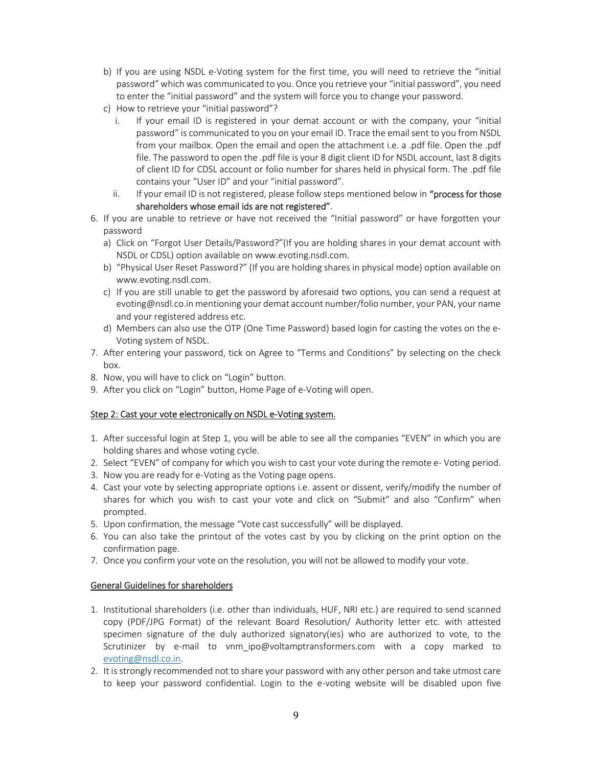- b) If you are using NSDL e-Voting system for the first time, you will need to retrieve the "initial password" which was communicated to you. Once you retrieve your "initial password", you need to enter the "initial password" and the system will force you to change your password.
- c) How to retrieve your "initial password"?
	- i. If your email ID is registered in your demat account or with the company, your "initial password" is communicated to you on your email ID. Trace the email sent to you from NSDL from your mailbox. Open the email and open the attachment i.e. a .pdf file. Open the .pdf file. The password to open the .pdf file is your 8 digit client ID for NSDL account, last 8 digits of client ID for CDSL account or folio number for shares held in physical form. The .pdf file contains your "User ID" and your "initial password".
	- ii. If your email ID is not registered, please follow steps mentioned below in "process for those shareholders whose email ids are not registered".
- 6. If you are unable to retrieve or have not received the "Initial password" or have forgotten your password
	- a) Click on "Forgot User Details/Password?"(If you are holding shares in your demat account with NSDL or CDSL) option available on www.evoting.nsdl.com.
	- b) "Physical User Reset Password?" (If you are holding shares in physical mode) option available on www.evoting.nsdl.com.
	- c) If you are still unable to get the password by aforesaid two options, you can send a request at evoting@nsdl.co.in mentioning your demat account number/folio number, your PAN, your name and your registered address etc.
	- d) Members can also use the OTP (One Time Password) based login for casting the votes on the e-Voting system of NSDL.
- 7. After entering your password, tick on Agree to "Terms and Conditions" by selecting on the check box.
- 8. Now, you will have to click on "Login" button.
- 9. After you click on "Login" button, Home Page of e-Voting will open.

## Step 2: Cast your vote electronically on NSDL e-Voting system.

- 1. After successful login at Step 1, you will be able to see all the companies "EVEN" in which you are holding shares and whose voting cycle.
- 2. Select "EVEN" of company for which you wish to cast your vote during the remote e- Voting period.
- 3. Now you are ready for e-Voting as the Voting page opens.
- 4. Cast your vote by selecting appropriate options i.e. assent or dissent, verify/modify the number of shares for which you wish to cast your vote and click on "Submit" and also "Confirm" when prompted.
- 5. Upon confirmation, the message "Vote cast successfully" will be displayed.
- 6. You can also take the printout of the votes cast by you by clicking on the print option on the confirmation page.
- 7. Once you confirm your vote on the resolution, you will not be allowed to modify your vote.

## General Guidelines for shareholders

- 1. Institutional shareholders (i.e. other than individuals, HUF, NRI etc.) are required to send scanned copy (PDF/JPG Format) of the relevant Board Resolution/ Authority letter etc. with attested specimen signature of the duly authorized signatory(ies) who are authorized to vote, to the Scrutinizer by e-mail to vnm\_ipo@voltamptransformers.com with a copy marked to evoting@nsdl.co.in.
- 2. It is strongly recommended not to share your password with any other person and take utmost care to keep your password confidential. Login to the e-voting website will be disabled upon five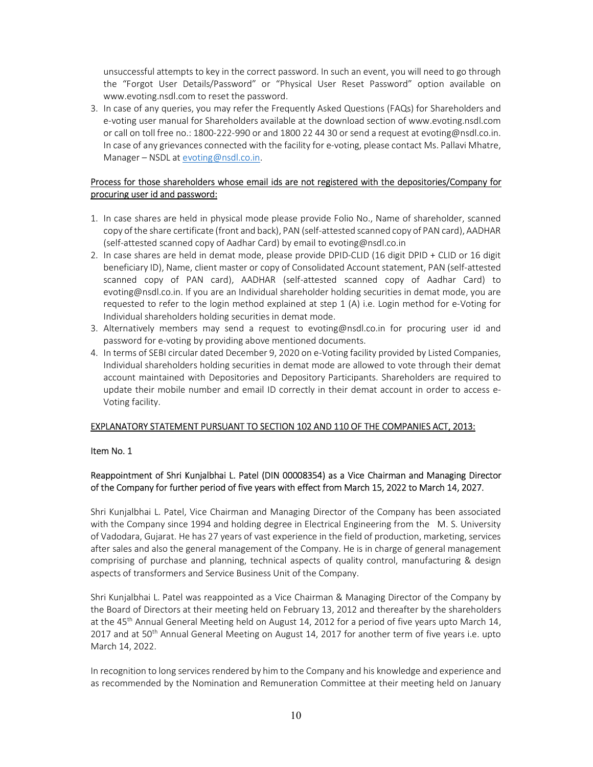unsuccessful attempts to key in the correct password. In such an event, you will need to go through the "Forgot User Details/Password" or "Physical User Reset Password" option available on www.evoting.nsdl.com to reset the password.

3. In case of any queries, you may refer the Frequently Asked Questions (FAQs) for Shareholders and e-voting user manual for Shareholders available at the download section of www.evoting.nsdl.com or call on toll free no.: 1800-222-990 or and 1800 22 44 30 or send a request at evoting@nsdl.co.in. In case of any grievances connected with the facility for e-voting, please contact Ms. Pallavi Mhatre, Manager – NSDL at evoting@nsdl.co.in.

## Process for those shareholders whose email ids are not registered with the depositories/Company for procuring user id and password:

- 1. In case shares are held in physical mode please provide Folio No., Name of shareholder, scanned copy of the share certificate (front and back), PAN (self-attested scanned copy of PAN card), AADHAR (self-attested scanned copy of Aadhar Card) by email to evoting@nsdl.co.in
- 2. In case shares are held in demat mode, please provide DPID-CLID (16 digit DPID + CLID or 16 digit beneficiary ID), Name, client master or copy of Consolidated Account statement, PAN (self-attested scanned copy of PAN card), AADHAR (self-attested scanned copy of Aadhar Card) to evoting@nsdl.co.in. If you are an Individual shareholder holding securities in demat mode, you are requested to refer to the login method explained at step 1 (A) i.e. Login method for e-Voting for Individual shareholders holding securities in demat mode.
- 3. Alternatively members may send a request to evoting@nsdl.co.in for procuring user id and password for e-voting by providing above mentioned documents.
- 4. In terms of SEBI circular dated December 9, 2020 on e-Voting facility provided by Listed Companies, Individual shareholders holding securities in demat mode are allowed to vote through their demat account maintained with Depositories and Depository Participants. Shareholders are required to update their mobile number and email ID correctly in their demat account in order to access e-Voting facility.

#### EXPLANATORY STATEMENT PURSUANT TO SECTION 102 AND 110 OF THE COMPANIES ACT, 2013:

#### Item No. 1

## Reappointment of Shri Kunjalbhai L. Patel (DIN 00008354) as a Vice Chairman and Managing Director of the Company for further period of five years with effect from March 15, 2022 to March 14, 2027.

Shri Kunjalbhai L. Patel, Vice Chairman and Managing Director of the Company has been associated with the Company since 1994 and holding degree in Electrical Engineering from the M. S. University of Vadodara, Gujarat. He has 27 years of vast experience in the field of production, marketing, services after sales and also the general management of the Company. He is in charge of general management comprising of purchase and planning, technical aspects of quality control, manufacturing & design aspects of transformers and Service Business Unit of the Company.

Shri Kunjalbhai L. Patel was reappointed as a Vice Chairman & Managing Director of the Company by the Board of Directors at their meeting held on February 13, 2012 and thereafter by the shareholders at the 45<sup>th</sup> Annual General Meeting held on August 14, 2012 for a period of five years upto March 14, 2017 and at 50<sup>th</sup> Annual General Meeting on August 14, 2017 for another term of five years i.e. upto March 14, 2022.

In recognition to long services rendered by him to the Company and his knowledge and experience and as recommended by the Nomination and Remuneration Committee at their meeting held on January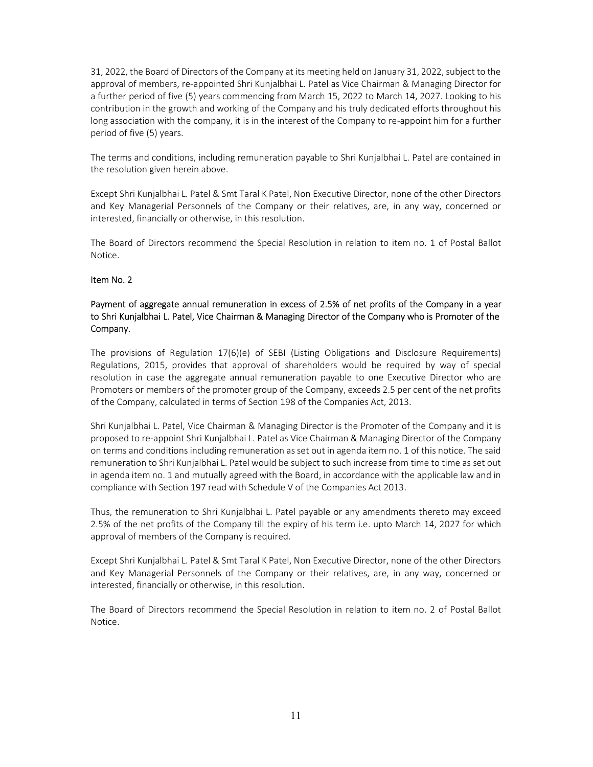31, 2022, the Board of Directors of the Company at its meeting held on January 31, 2022, subject to the approval of members, re-appointed Shri Kunjalbhai L. Patel as Vice Chairman & Managing Director for a further period of five (5) years commencing from March 15, 2022 to March 14, 2027. Looking to his contribution in the growth and working of the Company and his truly dedicated efforts throughout his long association with the company, it is in the interest of the Company to re-appoint him for a further period of five (5) years.

The terms and conditions, including remuneration payable to Shri Kunjalbhai L. Patel are contained in the resolution given herein above.

Except Shri Kunjalbhai L. Patel & Smt Taral K Patel, Non Executive Director, none of the other Directors and Key Managerial Personnels of the Company or their relatives, are, in any way, concerned or interested, financially or otherwise, in this resolution.

The Board of Directors recommend the Special Resolution in relation to item no. 1 of Postal Ballot Notice.

#### Item No. 2

#### Payment of aggregate annual remuneration in excess of 2.5% of net profits of the Company in a year to Shri Kunjalbhai L. Patel, Vice Chairman & Managing Director of the Company who is Promoter of the Company.

The provisions of Regulation 17(6)(e) of SEBI (Listing Obligations and Disclosure Requirements) Regulations, 2015, provides that approval of shareholders would be required by way of special resolution in case the aggregate annual remuneration payable to one Executive Director who are Promoters or members of the promoter group of the Company, exceeds 2.5 per cent of the net profits of the Company, calculated in terms of Section 198 of the Companies Act, 2013.

Shri Kunjalbhai L. Patel, Vice Chairman & Managing Director is the Promoter of the Company and it is proposed to re-appoint Shri Kunjalbhai L. Patel as Vice Chairman & Managing Director of the Company on terms and conditions including remuneration as set out in agenda item no. 1 of this notice. The said remuneration to Shri Kunjalbhai L. Patel would be subject to such increase from time to time as set out in agenda item no. 1 and mutually agreed with the Board, in accordance with the applicable law and in compliance with Section 197 read with Schedule V of the Companies Act 2013.

Thus, the remuneration to Shri Kunjalbhai L. Patel payable or any amendments thereto may exceed 2.5% of the net profits of the Company till the expiry of his term i.e. upto March 14, 2027 for which approval of members of the Company is required.

Except Shri Kunjalbhai L. Patel & Smt Taral K Patel, Non Executive Director, none of the other Directors and Key Managerial Personnels of the Company or their relatives, are, in any way, concerned or interested, financially or otherwise, in this resolution.

The Board of Directors recommend the Special Resolution in relation to item no. 2 of Postal Ballot Notice.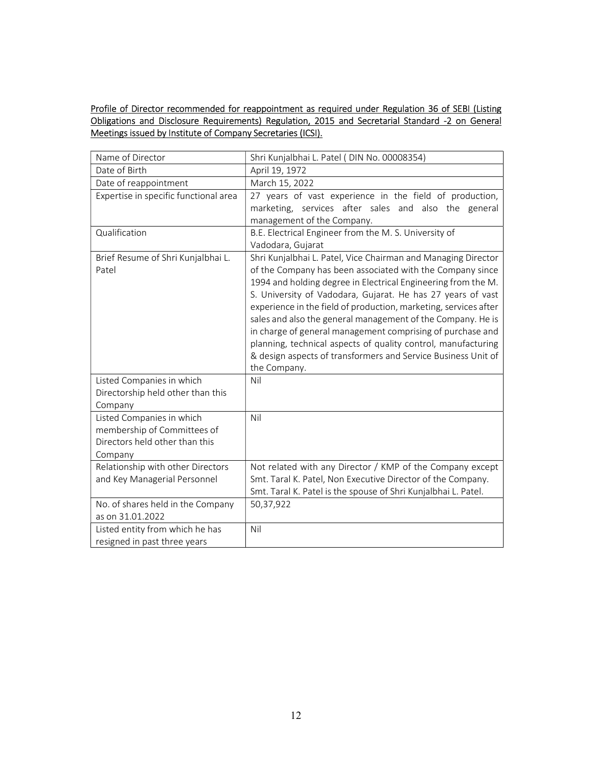Profile of Director recommended for reappointment as required under Regulation 36 of SEBI (Listing Obligations and Disclosure Requirements) Regulation, 2015 and Secretarial Standard -2 on General Meetings issued by Institute of Company Secretaries (ICSI).

| Name of Director                                                                                      | Shri Kunjalbhai L. Patel (DIN No. 00008354)                                                                                                                                                                                                                                                                                                                                                                                                                                                                                                                                                                   |
|-------------------------------------------------------------------------------------------------------|---------------------------------------------------------------------------------------------------------------------------------------------------------------------------------------------------------------------------------------------------------------------------------------------------------------------------------------------------------------------------------------------------------------------------------------------------------------------------------------------------------------------------------------------------------------------------------------------------------------|
| Date of Birth                                                                                         | April 19, 1972                                                                                                                                                                                                                                                                                                                                                                                                                                                                                                                                                                                                |
| Date of reappointment                                                                                 | March 15, 2022                                                                                                                                                                                                                                                                                                                                                                                                                                                                                                                                                                                                |
| Expertise in specific functional area                                                                 | 27 years of vast experience in the field of production,<br>marketing, services after sales and also the general<br>management of the Company.                                                                                                                                                                                                                                                                                                                                                                                                                                                                 |
| Qualification                                                                                         | B.E. Electrical Engineer from the M. S. University of<br>Vadodara, Gujarat                                                                                                                                                                                                                                                                                                                                                                                                                                                                                                                                    |
| Brief Resume of Shri Kunjalbhai L.<br>Patel                                                           | Shri Kunjalbhai L. Patel, Vice Chairman and Managing Director<br>of the Company has been associated with the Company since<br>1994 and holding degree in Electrical Engineering from the M.<br>S. University of Vadodara, Gujarat. He has 27 years of vast<br>experience in the field of production, marketing, services after<br>sales and also the general management of the Company. He is<br>in charge of general management comprising of purchase and<br>planning, technical aspects of quality control, manufacturing<br>& design aspects of transformers and Service Business Unit of<br>the Company. |
| Listed Companies in which<br>Directorship held other than this<br>Company                             | Nil                                                                                                                                                                                                                                                                                                                                                                                                                                                                                                                                                                                                           |
| Listed Companies in which<br>membership of Committees of<br>Directors held other than this<br>Company | Nil                                                                                                                                                                                                                                                                                                                                                                                                                                                                                                                                                                                                           |
| Relationship with other Directors<br>and Key Managerial Personnel                                     | Not related with any Director / KMP of the Company except<br>Smt. Taral K. Patel, Non Executive Director of the Company.<br>Smt. Taral K. Patel is the spouse of Shri Kunjalbhai L. Patel.                                                                                                                                                                                                                                                                                                                                                                                                                    |
| No. of shares held in the Company<br>as on 31.01.2022                                                 | 50,37,922                                                                                                                                                                                                                                                                                                                                                                                                                                                                                                                                                                                                     |
| Listed entity from which he has<br>resigned in past three years                                       | Nil                                                                                                                                                                                                                                                                                                                                                                                                                                                                                                                                                                                                           |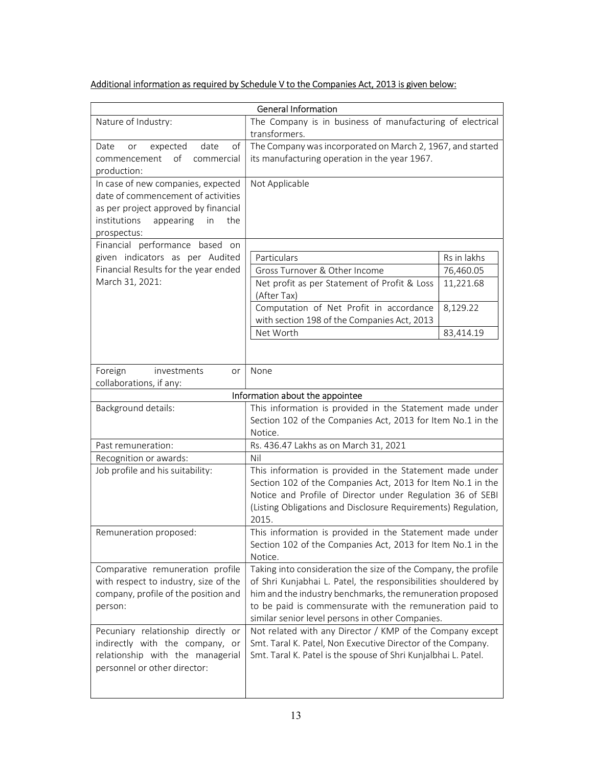# Additional information as required by Schedule V to the Companies Act, 2013 is given below:

| <b>General Information</b>                                               |                                                                   |             |  |  |
|--------------------------------------------------------------------------|-------------------------------------------------------------------|-------------|--|--|
| Nature of Industry:                                                      | The Company is in business of manufacturing of electrical         |             |  |  |
|                                                                          | transformers.                                                     |             |  |  |
| of<br>expected<br>date<br>Date<br>or                                     | The Company was incorporated on March 2, 1967, and started        |             |  |  |
| of<br>commencement<br>commercial                                         | its manufacturing operation in the year 1967.                     |             |  |  |
| production:                                                              |                                                                   |             |  |  |
| In case of new companies, expected<br>date of commencement of activities | Not Applicable                                                    |             |  |  |
| as per project approved by financial                                     |                                                                   |             |  |  |
| institutions<br>appearing<br>in<br>the                                   |                                                                   |             |  |  |
| prospectus:                                                              |                                                                   |             |  |  |
| Financial performance based on                                           |                                                                   |             |  |  |
| given indicators as per Audited                                          | Particulars                                                       | Rs in lakhs |  |  |
| Financial Results for the year ended                                     | Gross Turnover & Other Income                                     | 76,460.05   |  |  |
| March 31, 2021:                                                          | Net profit as per Statement of Profit & Loss<br>(After Tax)       | 11,221.68   |  |  |
|                                                                          | Computation of Net Profit in accordance                           | 8,129.22    |  |  |
|                                                                          | with section 198 of the Companies Act, 2013                       |             |  |  |
|                                                                          | Net Worth                                                         | 83,414.19   |  |  |
|                                                                          |                                                                   |             |  |  |
|                                                                          |                                                                   |             |  |  |
| Foreign<br>investments<br>or                                             | None                                                              |             |  |  |
| collaborations, if any:                                                  | Information about the appointee                                   |             |  |  |
| Background details:                                                      | This information is provided in the Statement made under          |             |  |  |
|                                                                          | Section 102 of the Companies Act, 2013 for Item No.1 in the       |             |  |  |
|                                                                          | Notice.                                                           |             |  |  |
| Past remuneration:                                                       | Rs. 436.47 Lakhs as on March 31, 2021                             |             |  |  |
| Recognition or awards:                                                   | Nil                                                               |             |  |  |
| Job profile and his suitability:                                         | This information is provided in the Statement made under          |             |  |  |
|                                                                          | Section 102 of the Companies Act, 2013 for Item No.1 in the       |             |  |  |
|                                                                          | Notice and Profile of Director under Regulation 36 of SEBI        |             |  |  |
|                                                                          | (Listing Obligations and Disclosure Requirements) Regulation,     |             |  |  |
|                                                                          | 2015.<br>This information is provided in the Statement made under |             |  |  |
| Remuneration proposed:                                                   | Section 102 of the Companies Act, 2013 for Item No.1 in the       |             |  |  |
|                                                                          | Notice.                                                           |             |  |  |
| Comparative remuneration profile                                         | Taking into consideration the size of the Company, the profile    |             |  |  |
| with respect to industry, size of the                                    | of Shri Kunjabhai L. Patel, the responsibilities shouldered by    |             |  |  |
| company, profile of the position and                                     | him and the industry benchmarks, the remuneration proposed        |             |  |  |
| person:                                                                  | to be paid is commensurate with the remuneration paid to          |             |  |  |
|                                                                          | similar senior level persons in other Companies.                  |             |  |  |
| Pecuniary relationship directly or                                       | Not related with any Director / KMP of the Company except         |             |  |  |
| indirectly with the company, or                                          | Smt. Taral K. Patel, Non Executive Director of the Company.       |             |  |  |
| relationship with the managerial                                         | Smt. Taral K. Patel is the spouse of Shri Kunjalbhai L. Patel.    |             |  |  |
| personnel or other director:                                             |                                                                   |             |  |  |
|                                                                          |                                                                   |             |  |  |